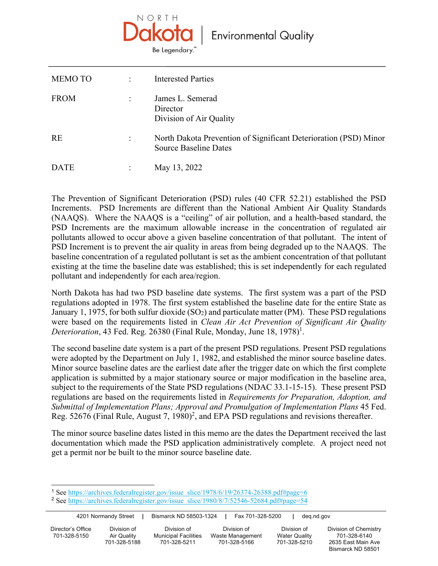

| <b>MEMOTO</b> | $\ddot{\phantom{a}}$ | <b>Interested Parties</b>                                                                        |
|---------------|----------------------|--------------------------------------------------------------------------------------------------|
| <b>FROM</b>   | $\ddot{\phantom{a}}$ | James L. Semerad<br>Director<br>Division of Air Quality                                          |
| <b>RE</b>     | $\ddot{\cdot}$       | North Dakota Prevention of Significant Deterioration (PSD) Minor<br><b>Source Baseline Dates</b> |
| DATE          |                      | May 13, 2022                                                                                     |

The Prevention of Significant Deterioration (PSD) rules (40 CFR 52.21) established the PSD Increments. PSD Increments are different than the National Ambient Air Quality Standards (NAAQS). Where the NAAQS is a "ceiling" of air pollution, and a health-based standard, the PSD Increments are the maximum allowable increase in the concentration of regulated air pollutants allowed to occur above a given baseline concentration of that pollutant. The intent of PSD Increment is to prevent the air quality in areas from being degraded up to the NAAQS. The baseline concentration of a regulated pollutant is set as the ambient concentration of that pollutant existing at the time the baseline date was established; this is set independently for each regulated pollutant and independently for each area/region.

North Dakota has had two PSD baseline date systems. The first system was a part of the PSD regulations adopted in 1978. The first system established the baseline date for the entire State as January 1, 1975, for both sulfur dioxide  $(SO<sub>2</sub>)$  and particulate matter (PM). These PSD regulations were based on the requirements listed in *Clean Air Act Prevention of Significant Air Quality*  Deterioration, 43 Fed. Reg. 26380 (Final Rule, Monday, June 18, 1978)<sup>1</sup>.

The second baseline date system is a part of the present PSD regulations. Present PSD regulations were adopted by the Department on July 1, 1982, and established the minor source baseline dates. Minor source baseline dates are the earliest date after the trigger date on which the first complete application is submitted by a major stationary source or major modification in the baseline area, subject to the requirements of the State PSD regulations (NDAC 33.1-15-15). These present PSD regulations are based on the requirements listed in *Requirements for Preparation, Adoption, and Submittal of Implementation Plans; Approval and Promulgation of Implementation Plans* 45 Fed. Reg. 52676 (Final Rule, August 7, 1980)<sup>2</sup>, and EPA PSD regulations and revisions thereafter.

The minor source baseline dates listed in this memo are the dates the Department received the last documentation which made the PSD application administratively complete. A project need not get a permit nor be built to the minor source baseline date.

Bismarck ND 58501

<sup>&</sup>lt;sup>1</sup> See https://archives.federalregister.gov/issue\_slice/1978/6/19/26374-26388.pdf#page=6

<sup>&</sup>lt;sup>2</sup> See https://archives.federalregister.gov/issue\_slice/1980/8/7/52546-52684.pdf#page=54